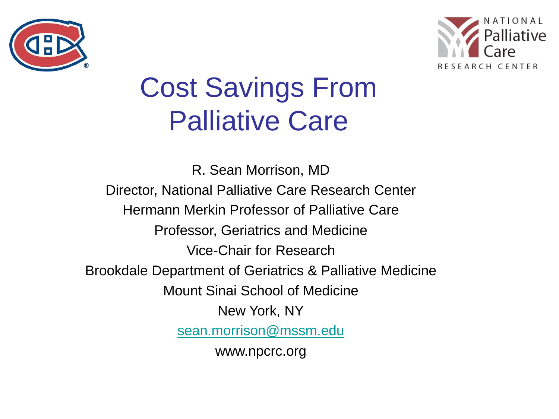



# Cost Savings From Palliative Care

R. Sean Morrison, MD Director, National Palliative Care Research Center Hermann Merkin Professor of Palliative Care Professor, Geriatrics and Medicine Vice-Chair for Research Brookdale Department of Geriatrics & Palliative Medicine Mount Sinai School of Medicine New York, NY [sean.morrison@mssm.edu](mailto:sean.morrison@mssm.edu) www.npcrc.org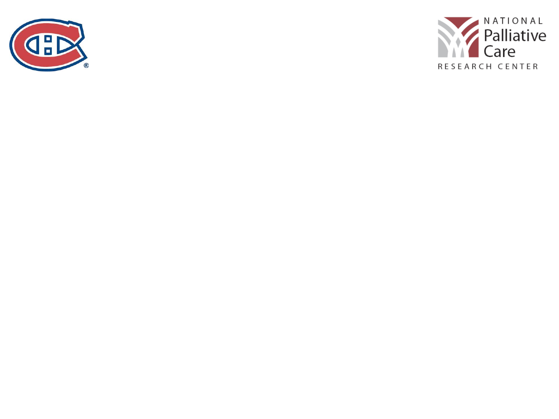

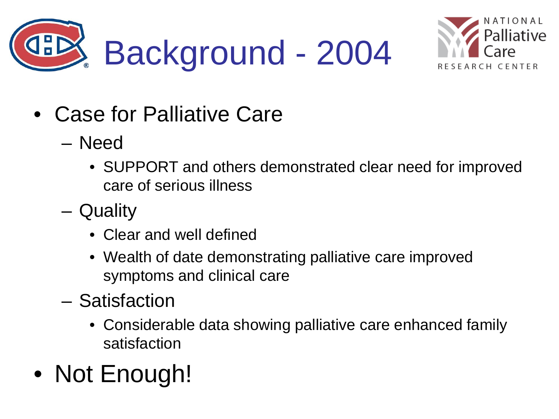



- Case for Palliative Care
	- Need
		- SUPPORT and others demonstrated clear need for improved care of serious illness
	- Quality
		- Clear and well defined
		- Wealth of date demonstrating palliative care improved symptoms and clinical care
	- Satisfaction
		- Considerable data showing palliative care enhanced family satisfaction
- Not Enough!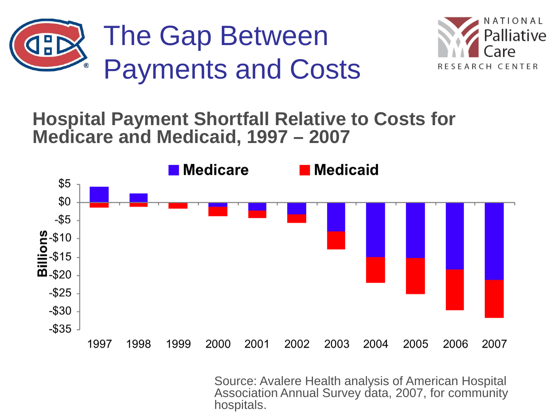



### **Hospital Payment Shortfall Relative to Costs for Medicare and Medicaid, 1997 – 2007**



Source: Avalere Health analysis of American Hospital Association Annual Survey data, 2007, for community hospitals.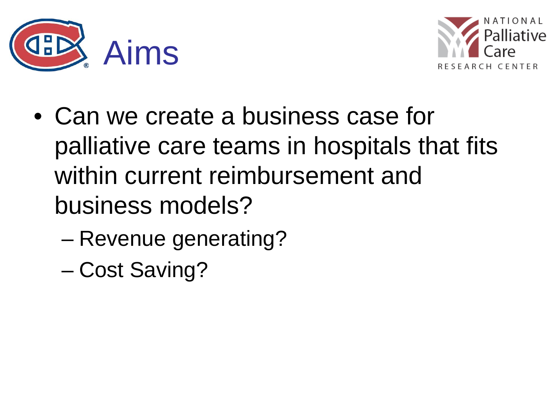



- Can we create a business case for palliative care teams in hospitals that fits within current reimbursement and business models?
	- Revenue generating?
	- Cost Saving?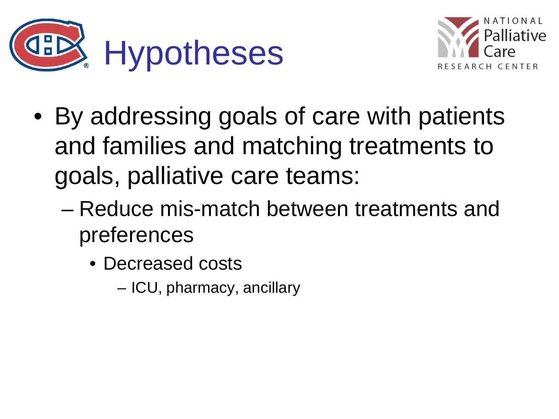



- By addressing goals of care with patients and families and matching treatments to goals, palliative care teams:
	- Reduce mis-match between treatments and preferences
		- Decreased costs
			- ICU, pharmacy, ancillary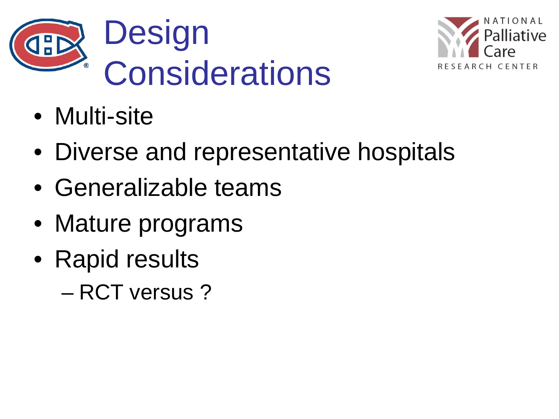



- Multi-site
- Diverse and representative hospitals
- Generalizable teams
- Mature programs
- Rapid results
	- RCT versus ?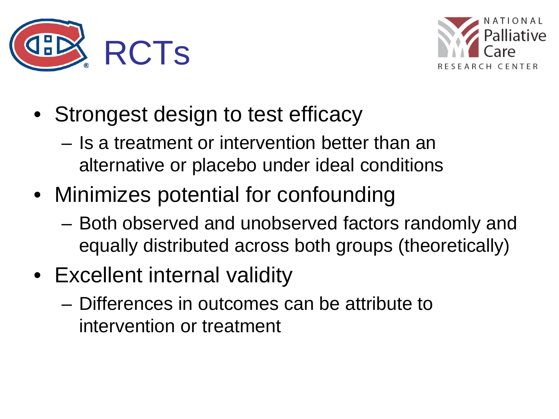



- Strongest design to test efficacy
	- Is a treatment or intervention better than an alternative or placebo under ideal conditions
- Minimizes potential for confounding
	- Both observed and unobserved factors randomly and equally distributed across both groups (theoretically)
- Excellent internal validity
	- Differences in outcomes can be attribute to intervention or treatment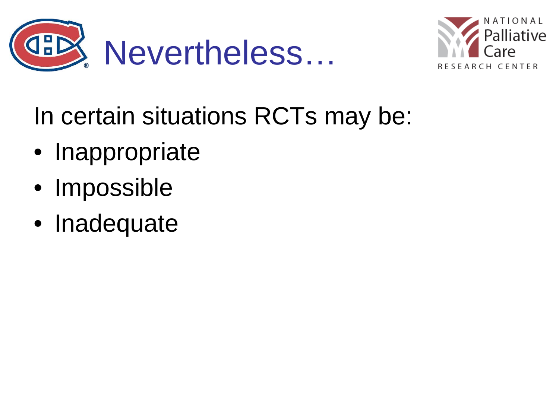



In certain situations RCTs may be:

- Inappropriate
- Impossible
- Inadequate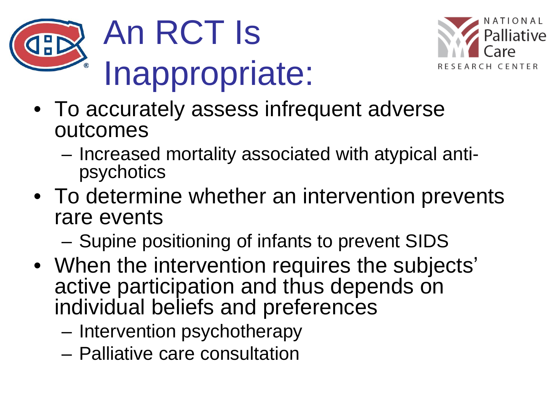



- To accurately assess infrequent adverse outcomes
	- Increased mortality associated with atypical anti- psychotics
- To determine whether an intervention prevents rare events
	- Supine positioning of infants to prevent SIDS
- When the intervention requires the subjects' active participation and thus depends on individual beliefs and preferences
	- Intervention psychotherapy
	- Palliative care consultation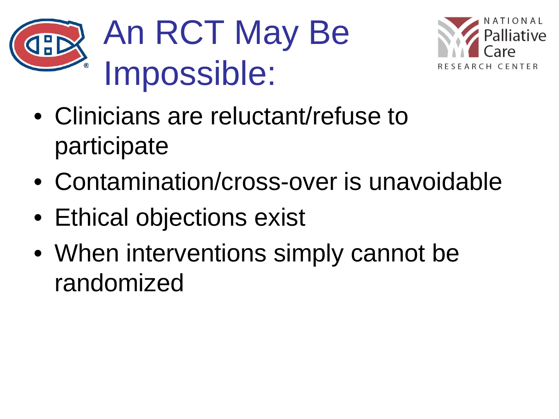



- Clinicians are reluctant/refuse to participate
- Contamination/cross-over is unavoidable
- Ethical objections exist
- When interventions simply cannot be randomized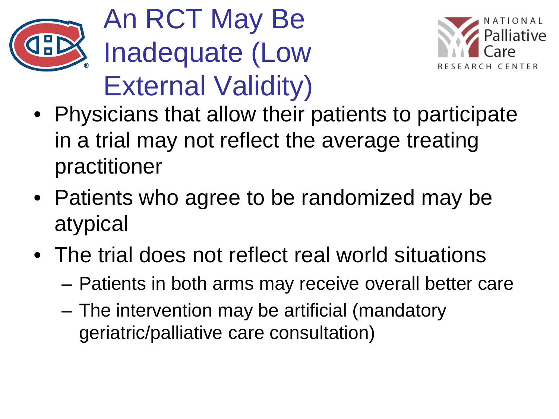

An RCT May Be Inadequate (Low External Validity)



- Physicians that allow their patients to participate in a trial may not reflect the average treating practitioner
- Patients who agree to be randomized may be atypical
- The trial does not reflect real world situations
	- Patients in both arms may receive overall better care
	- The intervention may be artificial (mandatory geriatric/palliative care consultation)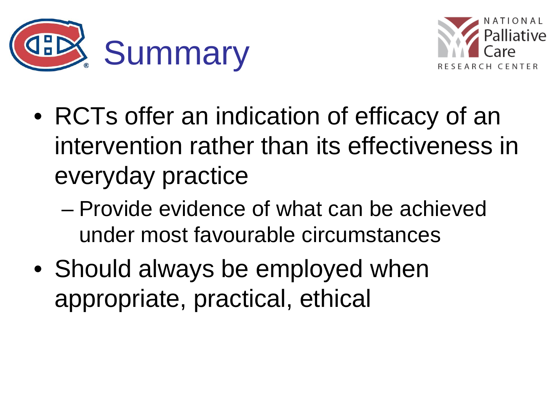



- RCTs offer an indication of efficacy of an intervention rather than its effectiveness in everyday practice
	- Provide evidence of what can be achieved under most favourable circumstances
- Should always be employed when appropriate, practical, ethical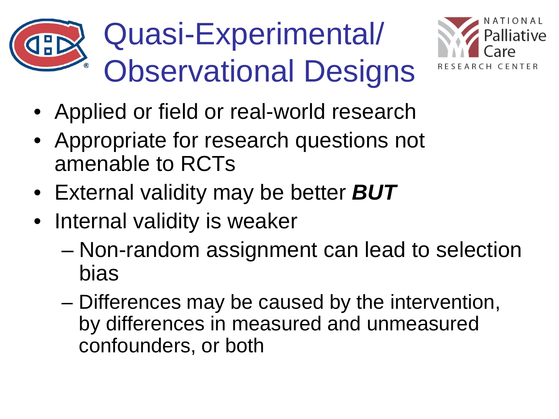



- Applied or field or real-world research
- Appropriate for research questions not amenable to RCTs
- External validity may be better *BUT*
- Internal validity is weaker
	- Non-random assignment can lead to selection bias
	- Differences may be caused by the intervention, by differences in measured and unmeasured confounders, or both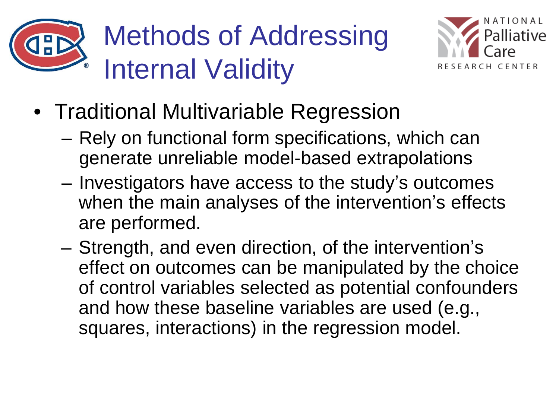

Methods of Addressing Internal Validity



- Traditional Multivariable Regression
	- Rely on functional form specifications, which can generate unreliable model-based extrapolations
	- Investigators have access to the study's outcomes when the main analyses of the intervention's effects are performed.
	- Strength, and even direction, of the intervention's effect on outcomes can be manipulated by the choice of control variables selected as potential confounders and how these baseline variables are used (e.g., squares, interactions) in the regression model.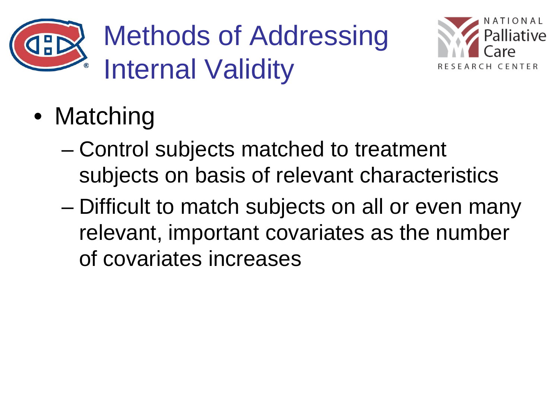

Methods of Addressing Internal Validity



- Matching
	- Control subjects matched to treatment subjects on basis of relevant characteristics
	- Difficult to match subjects on all or even many relevant, important covariates as the number of covariates increases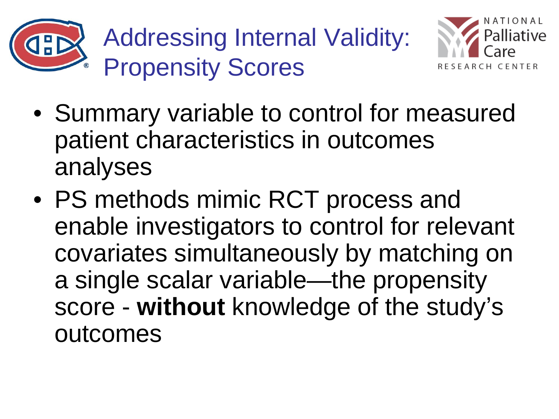

Addressing Internal Validity: Propensity Scores



- Summary variable to control for measured patient characteristics in outcomes analyses
- PS methods mimic RCT process and enable investigators to control for relevant covariates simultaneously by matching on a single scalar variable—the propensity score - **without** knowledge of the study's outcomes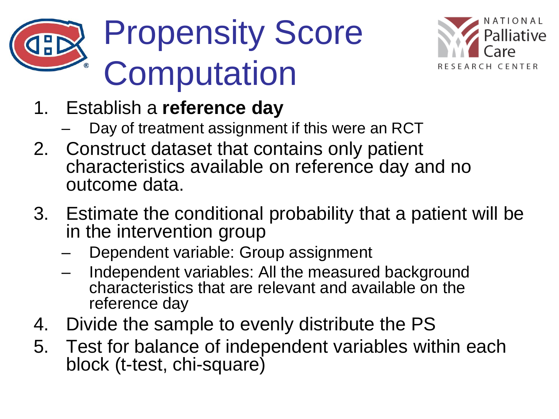



- 1. Establish a **reference day**
	- Day of treatment assignment if this were an RCT
- 2. Construct dataset that contains only patient characteristics available on reference day and no outcome data.
- 3. Estimate the conditional probability that a patient will be in the intervention group
	- Dependent variable: Group assignment
	- Independent variables: All the measured background characteristics that are relevant and available on the reference day
- 4. Divide the sample to evenly distribute the PS
- 5. Test for balance of independent variables within each block (t-test, chi-square)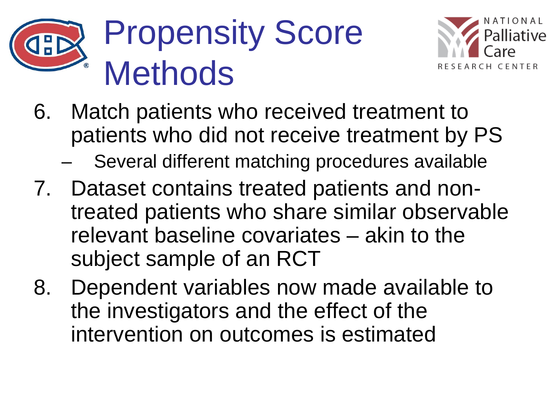



- 6. Match patients who received treatment to patients who did not receive treatment by PS
	- Several different matching procedures available
- 7. Dataset contains treated patients and nontreated patients who share similar observable relevant baseline covariates – akin to the subject sample of an RCT
- 8. Dependent variables now made available to the investigators and the effect of the intervention on outcomes is estimated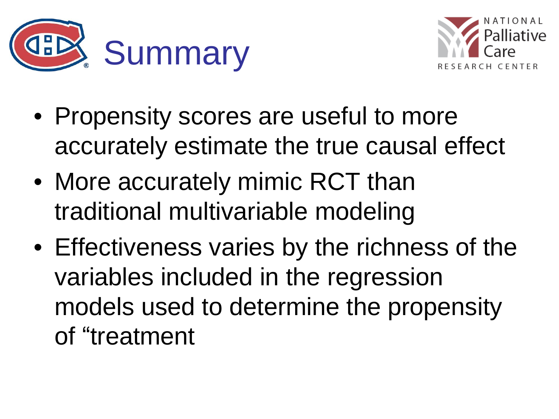



- Propensity scores are useful to more accurately estimate the true causal effect
- More accurately mimic RCT than traditional multivariable modeling
- Effectiveness varies by the richness of the variables included in the regression models used to determine the propensity of "treatment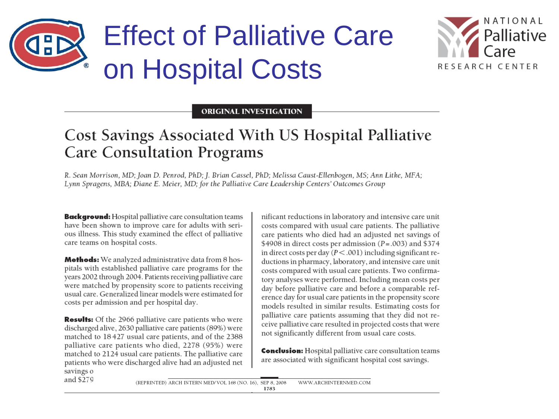



### **ORIGINAL INVESTIGATION**

### Cost Savings Associated With US Hospital Palliative **Care Consultation Programs**

R. Sean Morrison, MD; Joan D. Penrod, PhD; J. Brian Cassel, PhD; Melissa Caust-Ellenbogen, MS; Ann Litke, MFA; Lynn Spragens, MBA; Diane E. Meier, MD; for the Palliative Care Leadership Centers' Outcomes Group

**Background:** Hospital palliative care consultation teams have been shown to improve care for adults with serious illness. This study examined the effect of palliative care teams on hospital costs.

Methods: We analyzed administrative data from 8 hospitals with established palliative care programs for the years 2002 through 2004. Patients receiving palliative care were matched by propensity score to patients receiving usual care. Generalized linear models were estimated for costs per admission and per hospital day.

**Results:** Of the 2966 palliative care patients who were discharged alive, 2630 palliative care patients (89%) were matched to 18427 usual care patients, and of the 2388 palliative care patients who died, 2278 (95%) were matched to 2124 usual care patients. The palliative care patients who were discharged alive had an adjusted net savings o

nificant reductions in laboratory and intensive care unit costs compared with usual care patients. The palliative care patients who died had an adjusted net savings of \$4908 in direct costs per admission ( $P = .003$ ) and \$374 in direct costs per day ( $P < .001$ ) including significant reductions in pharmacy, laboratory, and intensive care unit costs compared with usual care patients. Two confirmatory analyses were performed. Including mean costs per day before palliative care and before a comparable reference day for usual care patients in the propensity score models resulted in similar results. Estimating costs for palliative care patients assuming that they did not receive palliative care resulted in projected costs that were not significantly different from usual care costs.

**Conclusion:** Hospital palliative care consultation teams are associated with significant hospital cost savings.

and \$279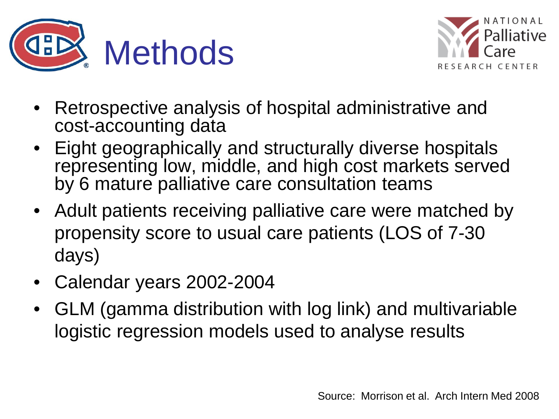



- Retrospective analysis of hospital administrative and cost-accounting data
- Eight geographically and structurally diverse hospitals representing low, middle, and high cost markets served by 6 mature palliative care consultation teams
- Adult patients receiving palliative care were matched by propensity score to usual care patients (LOS of 7-30 days)
- Calendar years 2002-2004
- GLM (gamma distribution with log link) and multivariable logistic regression models used to analyse results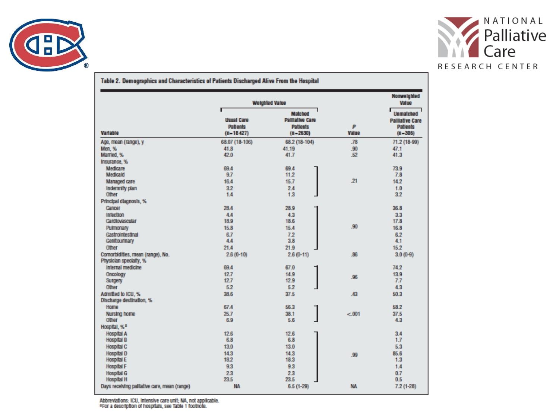



|                                                            | <b>Weighted Value</b>                               |                                                                             | Nonweighted<br>Value |                                                                            |
|------------------------------------------------------------|-----------------------------------------------------|-----------------------------------------------------------------------------|----------------------|----------------------------------------------------------------------------|
| Vartable                                                   | <b>Usual Care</b><br><b>Patients</b><br>$(n-18427)$ | <b>Matched</b><br><b>Palliative Care</b><br><b>Patients</b><br>$(n - 2630)$ | p<br>Value           | <b>Unmatched</b><br><b>Palliative Care</b><br><b>Patients</b><br>$(n-306)$ |
| Age, mean (range), y                                       | 68.07 (18-106)                                      | 68.2 (18-104)                                                               | .78                  | 71.2 (18-99)                                                               |
| <b>Men. %</b><br>Married, %                                | 41.8<br>42.0                                        | 41.19<br>41.7                                                               | .90<br>.52           | 47.1<br>41.3                                                               |
| Insurance, %                                               |                                                     |                                                                             |                      |                                                                            |
| Medicare<br>Medicald                                       | 69.4<br>9.7                                         | 69.4<br>11.2                                                                |                      | 73.9<br>7.8                                                                |
| Managed care                                               | 16.4                                                | 15.7                                                                        | 21                   | 14.2                                                                       |
| Indemnity plan<br><b>Other</b>                             | 32<br>1.4                                           | 2.4<br>1.3                                                                  |                      | 1.0<br>3.2                                                                 |
| Principal diagnosis, %                                     |                                                     |                                                                             |                      |                                                                            |
| Cancer                                                     | 28.4                                                | 28.9                                                                        |                      | 36.8                                                                       |
| <b>Intection</b><br>Cardiovascular                         | 4.4<br>18.9                                         | 4.3<br>18.6                                                                 |                      | 3.3<br>17.8                                                                |
| Pulmonary                                                  | 15.8                                                | 15.4                                                                        | .90                  | 16.8                                                                       |
| GastroIntestInal                                           | 6.7                                                 | 7.2                                                                         |                      | 6.2                                                                        |
| Genitourinary                                              | 4.4                                                 | 3.8                                                                         |                      | 4.1                                                                        |
| <b>Other</b>                                               | 21.4                                                | 21.9                                                                        |                      | 15.2                                                                       |
| Comorbidities, mean (range), No.<br>Physician specialty, % | $2.6(0-10)$                                         | $2.6(0-11)$                                                                 | .86                  | $3.0(0-9)$                                                                 |
| Internal medicine                                          | 69.4                                                | 67.0                                                                        |                      | 74.2                                                                       |
| <b>Oncology</b>                                            | 12.7                                                | 14.9                                                                        | .96                  | 13.9                                                                       |
| Surgery                                                    | 12.7                                                | 12.9                                                                        |                      | 7.7                                                                        |
| <b>Other</b>                                               | 5.2                                                 | 5.2                                                                         |                      | 4.3                                                                        |
| Admitted to ICU, %<br>Discharge destination, %             | 38.6                                                | 37.5                                                                        | 43                   | 50.3                                                                       |
| Home                                                       | 67.4                                                | 56.3                                                                        |                      | 58.2                                                                       |
| Nursing home<br><b>Other</b>                               | 26.7<br>6.9                                         | 38.1<br>5.6                                                                 | < 001                | 37.5<br>4.3                                                                |
| Hospital, % <sup>2</sup>                                   |                                                     |                                                                             |                      |                                                                            |
| <b>Hospital A</b>                                          | 12.6                                                | 12.6                                                                        |                      | 3.4                                                                        |
| <b>Hospital B</b>                                          | 6.8                                                 | 6.8                                                                         |                      | 1.7                                                                        |
| <b>Hospital C</b>                                          | 13.0                                                | 13.0                                                                        |                      | 5.3                                                                        |
| Hospital D                                                 | 14.3<br>18.2                                        | 14.3<br>18.3                                                                | .99                  | 85.6<br>1.3                                                                |
| <b>Hospital E</b><br><b>Hospital F</b>                     | 9.3                                                 | 9.3                                                                         |                      | 1.4                                                                        |
| <b>Hospital G</b>                                          | 2.3                                                 | 2.3                                                                         |                      | 0.7                                                                        |
| <b>Hospital H</b>                                          | 23.5                                                | 23.5                                                                        |                      | 0.5                                                                        |
| Days receiving palliative care, mean (range)               | <b>NA</b>                                           | $6.5(1-29)$                                                                 | <b>NA</b>            | $7.2(1 - 28)$                                                              |

Abbreviations: ICU, intensive care unit; NA, not applicable.<br><sup>a</sup>For a description of hospitals, see Table 1 footnote.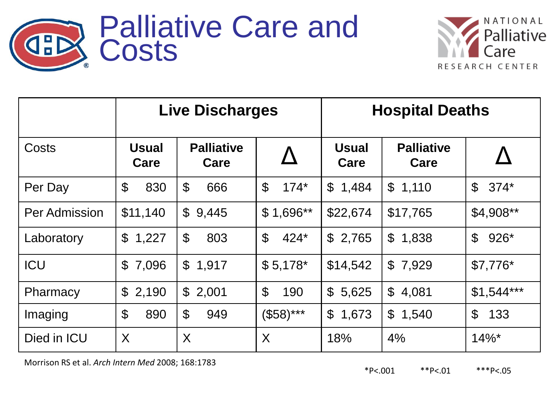



|                      | <b>Live Discharges</b>            |                                   |                                      | <b>Hospital Deaths</b>              |                           |                          |
|----------------------|-----------------------------------|-----------------------------------|--------------------------------------|-------------------------------------|---------------------------|--------------------------|
| Costs                | <b>Usual</b><br>Care              | <b>Palliative</b><br>Care         |                                      | <b>Usual</b><br>Care                | <b>Palliative</b><br>Care |                          |
| Per Day              | $\boldsymbol{\mathcal{S}}$<br>830 | $\boldsymbol{\mathcal{S}}$<br>666 | $\boldsymbol{\mathcal{S}}$<br>$174*$ | $\mathfrak{S}$<br>1,484             | \$1,110                   | $\mathfrak{F}$<br>$374*$ |
| <b>Per Admission</b> | \$11,140                          | $\mathbb{S}$<br>9,445             | $$1,696**$                           | \$22,674                            | \$17,765                  | $$4,908**$               |
| Laboratory           | \$<br>1,227                       | $\mathfrak{S}$<br>803             | $\mathfrak{L}$<br>$424*$             | \$2,765                             | $\mathbb{S}$<br>1,838     | $\mathfrak{L}$<br>926*   |
| ICU                  | 7,096<br>$\mathfrak{L}$           | $\mathbb{S}$<br>1,917             | $$5,178$ *                           | \$14,542                            | \$7,929                   | $$7,776*$                |
| Pharmacy             | \$<br>2,190                       | \$2,001                           | $\boldsymbol{\mathcal{S}}$<br>190    | $\mathfrak{F}$<br>5,625             | $\mathfrak{F}$<br>4,081   | $$1,544***$              |
| Imaging              | \$<br>890                         | $\boldsymbol{\mathcal{S}}$<br>949 | $($58)***$                           | $\boldsymbol{\mathcal{S}}$<br>1,673 | $\mathfrak{F}$<br>1,540   | $\mathfrak{L}$<br>133    |
| Died in ICU          | X                                 | X                                 | X                                    | 18%                                 | 4%                        | $14\%$ *                 |

Morrison RS et al. *Arch Intern Med* 2008; 168:1783

\*P<.001 \*\*P<.01 \*\*\*P<.05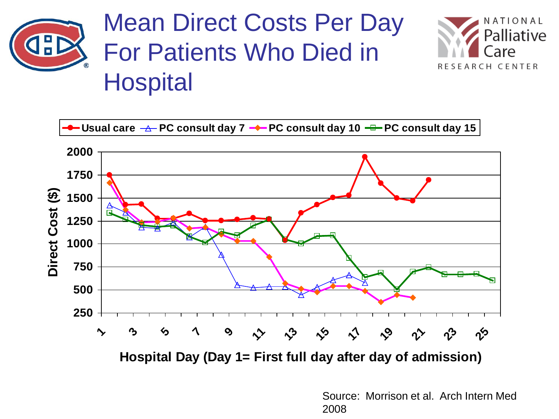

# Mean Direct Costs Per Day For Patients Who Died in **Hospital**



**Usual care PC consult day 7 PC consult day 10 PC consult day 15**



Source: Morrison et al. Arch Intern Med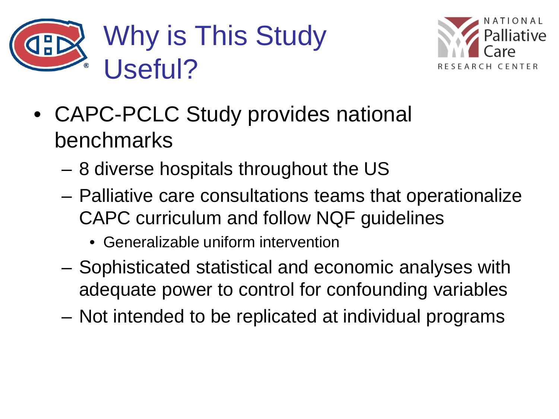



- CAPC-PCLC Study provides national benchmarks
	- 8 diverse hospitals throughout the US
	- Palliative care consultations teams that operationalize CAPC curriculum and follow NQF guidelines
		- Generalizable uniform intervention
	- Sophisticated statistical and economic analyses with adequate power to control for confounding variables
	- Not intended to be replicated at individual programs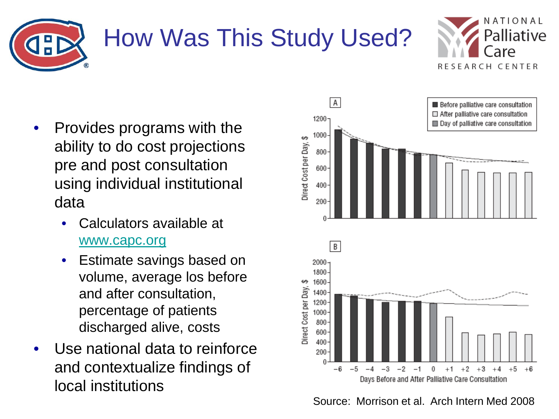



- Provides programs with the ability to do cost projections pre and post consultation using individual institutional data
	- Calculators available at [www.capc.org](http://www.capc.org/)
	- Estimate savings based on volume, average los before and after consultation, percentage of patients discharged alive, costs
- Use national data to reinforce and contextualize findings of local institutions



Source: Morrison et al. Arch Intern Med 2008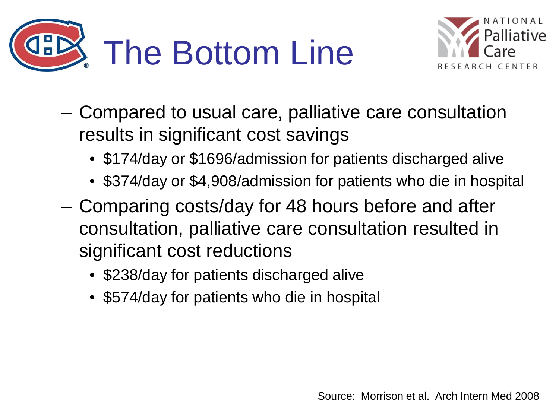



- Compared to usual care, palliative care consultation results in significant cost savings
	- \$174/day or \$1696/admission for patients discharged alive
	- \$374/day or \$4,908/admission for patients who die in hospital
- Comparing costs/day for 48 hours before and after consultation, palliative care consultation resulted in significant cost reductions
	- \$238/day for patients discharged alive
	- \$574/day for patients who die in hospital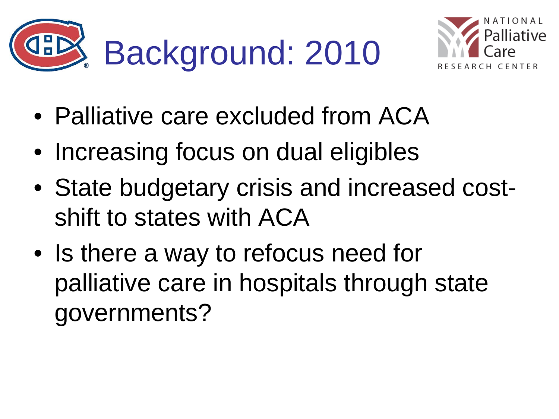



- Palliative care excluded from ACA
- Increasing focus on dual eligibles
- State budgetary crisis and increased costshift to states with ACA
- Is there a way to refocus need for palliative care in hospitals through state governments?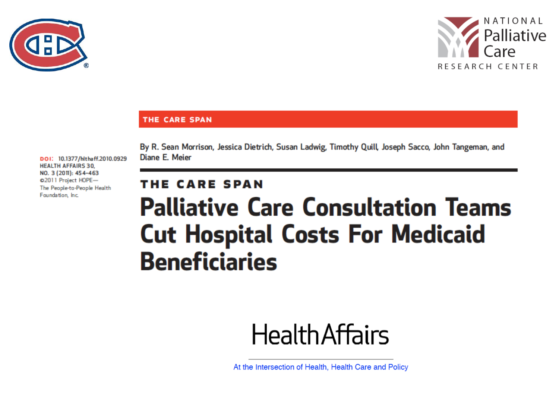



### THE CARE SPAN

By R. Sean Morrison, Jessica Dietrich, Susan Ladwig, Timothy Quill, Joseph Sacco, John Tangeman, and Diane E. Meier

DOI: 10.1377/hlthaff.2010.0929 **HEALTH AFFAIRS 30.** NO. 3 (2011): 454-463 02011 Project HOPE-The People-to-People Health Foundation, Inc.

### THE CARE SPAN

### **Palliative Care Consultation Teams Cut Hospital Costs For Medicaid Beneficiaries**

## **Health Affairs**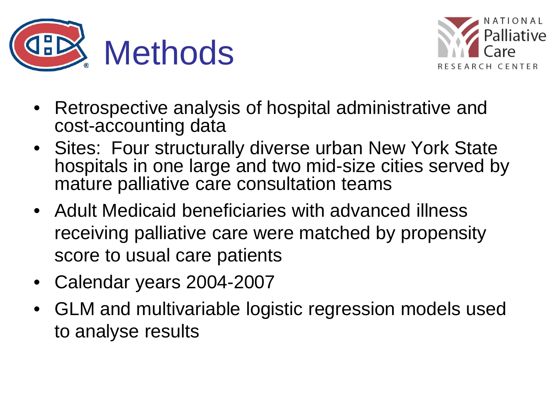



- Retrospective analysis of hospital administrative and cost-accounting data
- Sites: Four structurally diverse urban New York State hospitals in one large and two mid-size cities served by mature palliative care consultation teams
- Adult Medicaid beneficiaries with advanced illness receiving palliative care were matched by propensity score to usual care patients
- Calendar years 2004-2007
- GLM and multivariable logistic regression models used to analyse results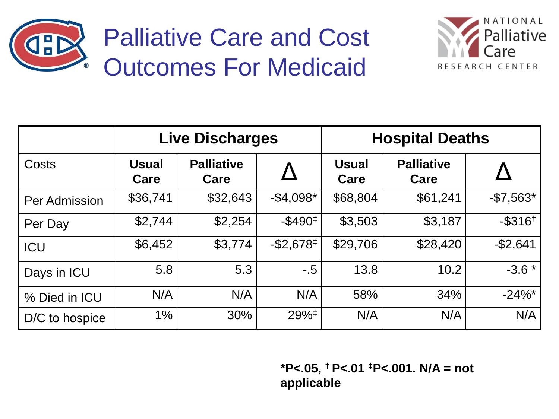

## Palliative Care and Cost Outcomes For Medicaid



|                | <b>Live Discharges</b> |                           |                          | <b>Hospital Deaths</b> |                           |                        |
|----------------|------------------------|---------------------------|--------------------------|------------------------|---------------------------|------------------------|
| Costs          | <b>Usual</b><br>Care   | <b>Palliative</b><br>Care |                          | <b>Usual</b><br>Care   | <b>Palliative</b><br>Care |                        |
| Per Admission  | \$36,741               | \$32,643                  | $-$4,098*$               | \$68,804               | \$61,241                  | $-$7,563*$             |
| Per Day        | \$2,744                | \$2,254                   | $-$ \$490‡               | \$3,503                | \$3,187                   | $-$ \$316 <sup>†</sup> |
| ICU            | \$6,452                | \$3,774                   | $-$ \$2,678 <sup>‡</sup> | \$29,706               | \$28,420                  | $-$ \$2,641            |
| Days in ICU    | 5.8                    | 5.3                       | $-0.5$                   | 13.8                   | 10.2                      | $-3.6*$                |
| % Died in ICU  | N/A                    | N/A                       | N/A                      | 58%                    | 34%                       | $-24\%$ *              |
| D/C to hospice | 1%                     | 30%                       | $29\%$ <sup>‡</sup>      | N/A                    | N/A                       | N/A                    |

**\*P<.05, † P<.01 ‡P<.001. N/A = not applicable**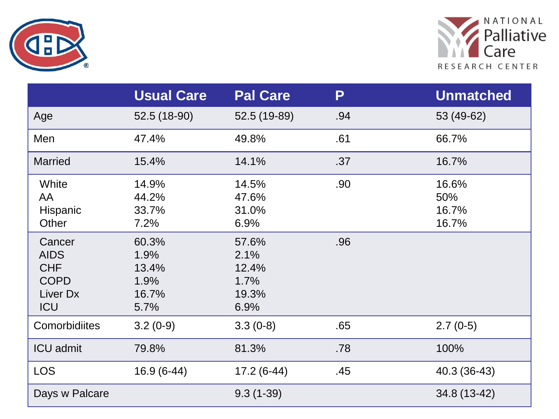



|                                                                              | <b>Usual Care</b>                               | <b>Pal Care</b>                                 | P   | <b>Unmatched</b>               |
|------------------------------------------------------------------------------|-------------------------------------------------|-------------------------------------------------|-----|--------------------------------|
| Age                                                                          | 52.5 (18-90)                                    | 52.5 (19-89)                                    | .94 | 53 (49-62)                     |
| Men                                                                          | 47.4%                                           | 49.8%                                           | .61 | 66.7%                          |
| <b>Married</b>                                                               | 15.4%                                           | 14.1%                                           | .37 | 16.7%                          |
| White<br>AA<br>Hispanic<br>Other                                             | 14.9%<br>44.2%<br>33.7%<br>7.2%                 | 14.5%<br>47.6%<br>31.0%<br>6.9%                 | .90 | 16.6%<br>50%<br>16.7%<br>16.7% |
| Cancer<br><b>AIDS</b><br><b>CHF</b><br><b>COPD</b><br>Liver Dx<br><b>ICU</b> | 60.3%<br>1.9%<br>13.4%<br>1.9%<br>16.7%<br>5.7% | 57.6%<br>2.1%<br>12.4%<br>1.7%<br>19.3%<br>6.9% | .96 |                                |
| Comorbidiites                                                                | $3.2(0-9)$                                      | $3.3(0-8)$                                      | .65 | $2.7(0-5)$                     |
| <b>ICU</b> admit                                                             | 79.8%                                           | 81.3%                                           | .78 | 100%                           |
| <b>LOS</b>                                                                   | $16.9(6-44)$                                    | $17.2(6-44)$                                    | .45 | 40.3 (36-43)                   |
| Days w Palcare                                                               |                                                 | $9.3(1-39)$                                     |     | 34.8 (13-42)                   |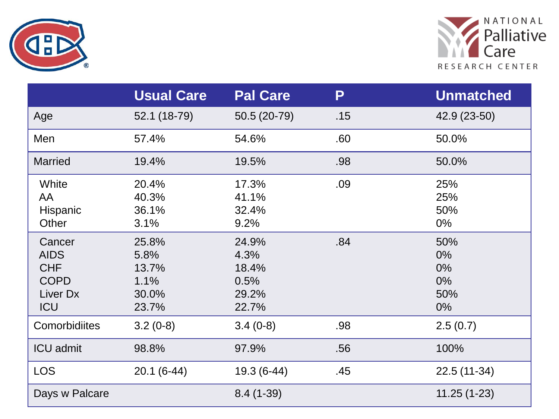



|                                                                              | <b>Usual Care</b>                                | <b>Pal Care</b>                                  | P   | <b>Unmatched</b>                               |
|------------------------------------------------------------------------------|--------------------------------------------------|--------------------------------------------------|-----|------------------------------------------------|
| Age                                                                          | 52.1 (18-79)                                     | 50.5 (20-79)                                     | .15 | 42.9 (23-50)                                   |
| Men                                                                          | 57.4%                                            | 54.6%                                            | .60 | 50.0%                                          |
| <b>Married</b>                                                               | 19.4%                                            | 19.5%                                            | .98 | 50.0%                                          |
| White<br>AA<br>Hispanic<br>Other                                             | 20.4%<br>40.3%<br>36.1%<br>3.1%                  | 17.3%<br>41.1%<br>32.4%<br>9.2%                  | .09 | 25%<br>25%<br>50%<br>$0\%$                     |
| Cancer<br><b>AIDS</b><br><b>CHF</b><br><b>COPD</b><br>Liver Dx<br><b>ICU</b> | 25.8%<br>5.8%<br>13.7%<br>1.1%<br>30.0%<br>23.7% | 24.9%<br>4.3%<br>18.4%<br>0.5%<br>29.2%<br>22.7% | .84 | 50%<br>$0\%$<br>$0\%$<br>$0\%$<br>50%<br>$0\%$ |
| Comorbidiites                                                                | $3.2(0-8)$                                       | $3.4(0-8)$                                       | .98 | 2.5(0.7)                                       |
| <b>ICU</b> admit                                                             | 98.8%                                            | 97.9%                                            | .56 | 100%                                           |
| <b>LOS</b>                                                                   | $20.1(6-44)$                                     | $19.3(6-44)$                                     | .45 | 22.5 (11-34)                                   |
| Days w Palcare                                                               |                                                  | $8.4(1-39)$                                      |     | $11.25(1-23)$                                  |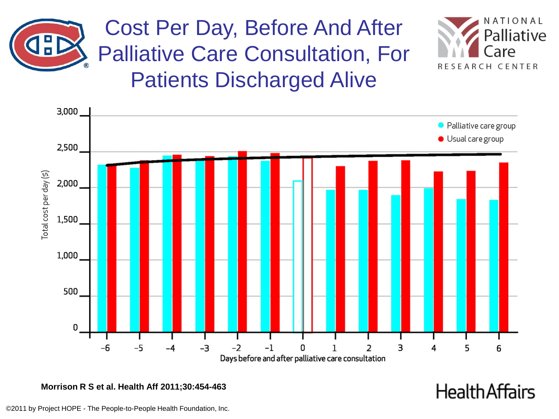

Cost Per Day, Before And After Palliative Care Consultation, For Patients Discharged Alive





**Morrison R S et al. Health Aff 2011;30:454-463**

©2011 by Project HOPE - The People-to-People Health Foundation, Inc.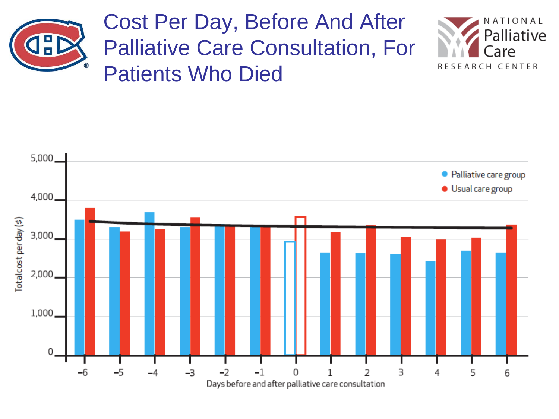

### Cost Per Day, Before And After Palliative Care Consultation, For Patients Who Died



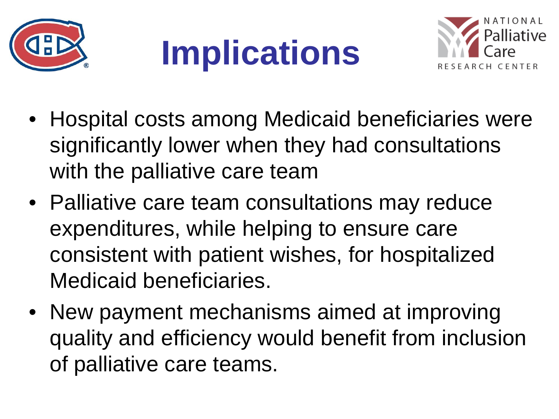





- Hospital costs among Medicaid beneficiaries were significantly lower when they had consultations with the palliative care team
- Palliative care team consultations may reduce expenditures, while helping to ensure care consistent with patient wishes, for hospitalized Medicaid beneficiaries.
- New payment mechanisms aimed at improving quality and efficiency would benefit from inclusion of palliative care teams.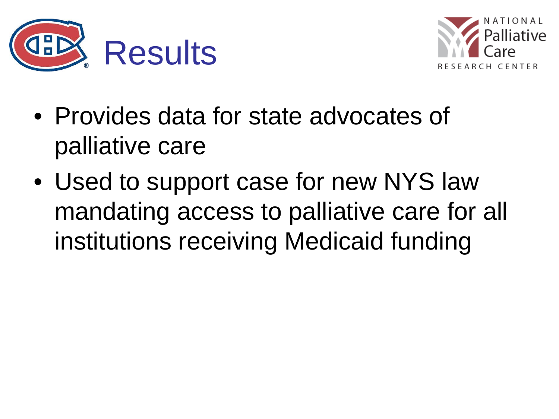



- Provides data for state advocates of palliative care
- Used to support case for new NYS law mandating access to palliative care for all institutions receiving Medicaid funding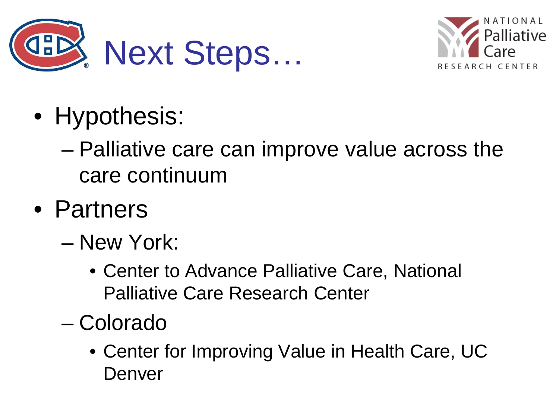



- Hypothesis:
	- Palliative care can improve value across the care continuum
- Partners
	- New York:
		- Center to Advance Palliative Care, National Palliative Care Research Center
	- Colorado
		- Center for Improving Value in Health Care, UC Denver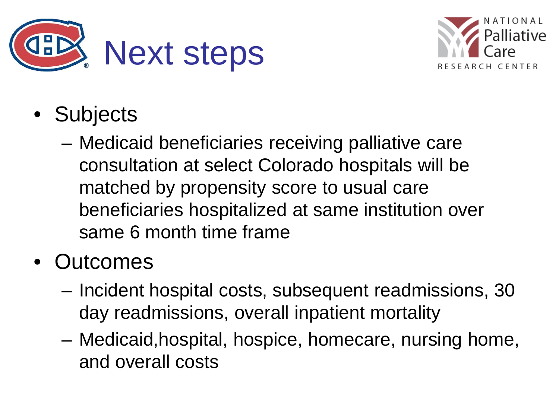



- Subjects
	- Medicaid beneficiaries receiving palliative care consultation at select Colorado hospitals will be matched by propensity score to usual care beneficiaries hospitalized at same institution over same 6 month time frame
- **Outcomes** 
	- Incident hospital costs, subsequent readmissions, 30 day readmissions, overall inpatient mortality
	- Medicaid,hospital, hospice, homecare, nursing home, and overall costs